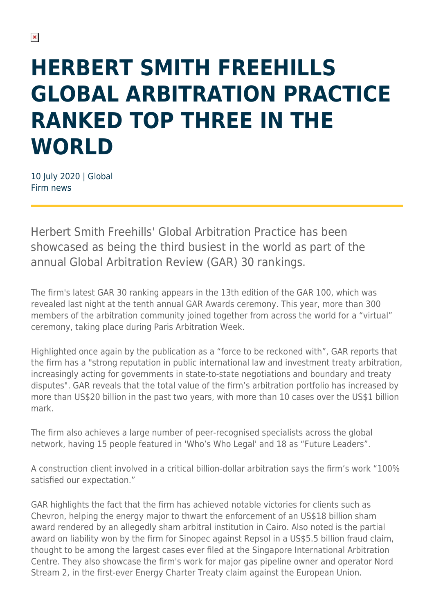## **HERBERT SMITH FREEHILLS GLOBAL ARBITRATION PRACTICE RANKED TOP THREE IN THE WORLD**

10 July 2020 | Global Firm news

Herbert Smith Freehills' Global Arbitration Practice has been showcased as being the third busiest in the world as part of the annual Global Arbitration Review (GAR) 30 rankings.

The firm's latest GAR 30 ranking appears in the 13th edition of the GAR 100, which was revealed last night at the tenth annual GAR Awards ceremony. This year, more than 300 members of the arbitration community joined together from across the world for a "virtual" ceremony, taking place during Paris Arbitration Week.

Highlighted once again by the publication as a "force to be reckoned with", GAR reports that the firm has a "strong reputation in public international law and investment treaty arbitration, increasingly acting for governments in state-to-state negotiations and boundary and treaty disputes". GAR reveals that the total value of the firm's arbitration portfolio has increased by more than US\$20 billion in the past two years, with more than 10 cases over the US\$1 billion mark.

The firm also achieves a large number of peer-recognised specialists across the global network, having 15 people featured in 'Who's Who Legal' and 18 as "Future Leaders".

A construction client involved in a critical billion-dollar arbitration says the firm's work "100% satisfied our expectation."

GAR highlights the fact that the firm has achieved notable victories for clients such as Chevron, helping the energy major to thwart the enforcement of an US\$18 billion sham award rendered by an allegedly sham arbitral institution in Cairo. Also noted is the partial award on liability won by the firm for Sinopec against Repsol in a US\$5.5 billion fraud claim, thought to be among the largest cases ever filed at the Singapore International Arbitration Centre. They also showcase the firm's work for major gas pipeline owner and operator Nord Stream 2, in the first-ever Energy Charter Treaty claim against the European Union.